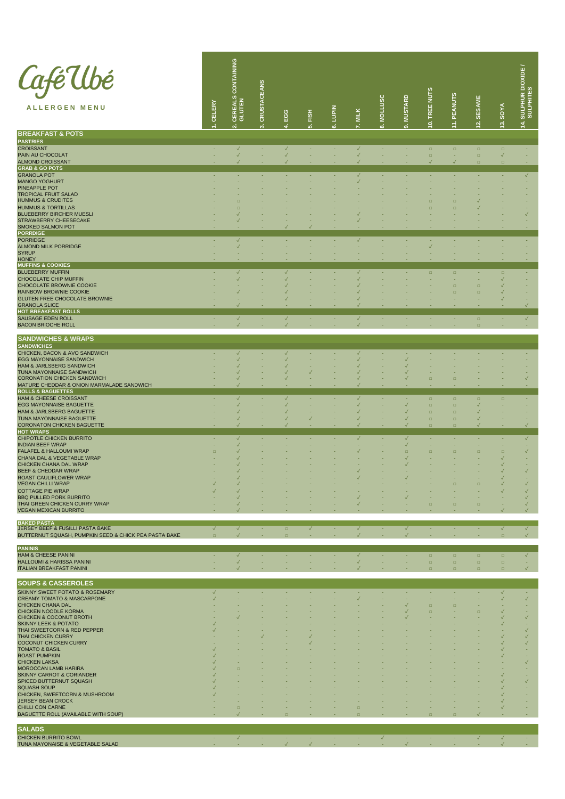| Café Ubé<br><b>ALLERGEN MENU</b>                                          | CELERY            | CONTAINING<br><b>CEREALS</b> | <b>CRUSTACEANS</b> | EGG<br>4                     | FISH<br>ທ່   | <b>NIdenT</b><br>نه | <b>MILK</b>                  | <b>MOLLUSC</b><br>ထံ | <b>MUSTARD</b><br>ၐ          | 0. TREE NUTS     | <b>PEANUTS</b><br>÷ | <b>SESAME</b><br>$\frac{2}{3}$ | <b>SOYA</b><br>$\frac{3}{2}$ | SULPHUR DIOXIDE<br>SULPHITES<br>$\frac{4}{1}$ |
|---------------------------------------------------------------------------|-------------------|------------------------------|--------------------|------------------------------|--------------|---------------------|------------------------------|----------------------|------------------------------|------------------|---------------------|--------------------------------|------------------------------|-----------------------------------------------|
| <b>BREAKFAST &amp; POTS</b>                                               |                   | $\mathbf{\dot{N}}$           |                    |                              |              |                     |                              |                      |                              |                  |                     |                                |                              |                                               |
| <b>PASTRIES</b>                                                           |                   |                              |                    |                              |              |                     |                              |                      |                              |                  |                     |                                |                              |                                               |
| <b>CROISSANT</b><br>PAIN AU CHOCOLAT                                      |                   | $\checkmark$<br>$\checkmark$ | ٠                  | $\checkmark$<br>$\checkmark$ | ×            | ٠                   | $\checkmark$<br>$\checkmark$ | ٠                    | ٠                            | $\Box$<br>$\Box$ | $\Box$<br>٠         | $\Box$<br>$\Box$               | $\Box$<br>$\checkmark$       | ×                                             |
| <b>ALMOND CROISSANT</b><br><b>GRAB &amp; GO POTS</b>                      |                   |                              |                    |                              |              |                     |                              |                      |                              |                  |                     | $\Box$                         | $\Box$                       |                                               |
| <b>GRANOLA POT</b>                                                        |                   |                              |                    |                              |              |                     | $\checkmark$                 |                      |                              |                  |                     |                                | ٠                            | $\checkmark$                                  |
| <b>MANGO YOGHURT</b><br>PINEAPPLE POT                                     |                   |                              |                    |                              |              |                     |                              |                      |                              |                  |                     |                                |                              | ٠                                             |
| <b>TROPICAL FRUIT SALAD</b>                                               |                   |                              |                    |                              |              |                     |                              |                      |                              |                  |                     |                                |                              |                                               |
| <b>HUMMUS &amp; CRUDITES</b><br><b>HUMMUS &amp; TORTILLAS</b>             |                   | п<br>ō                       |                    |                              |              |                     |                              |                      |                              | n<br>E           | $\Box$<br>$\Box$    | $\checkmark$                   |                              |                                               |
| <b>BLUEBERRY BIRCHER MUESLI</b><br>STRAWBERRY CHEESECAKE                  |                   |                              |                    |                              |              |                     |                              |                      |                              |                  |                     |                                |                              | $\checkmark$                                  |
| <b>SMOKED SALMON POT</b>                                                  |                   |                              |                    |                              |              |                     |                              |                      |                              |                  |                     |                                |                              |                                               |
| <b>PORRDIGE</b><br><b>PORRIDGE</b>                                        |                   | $\checkmark$                 |                    |                              | ×.           |                     | $\checkmark$                 | ٠                    | ٠                            | ٠                |                     |                                |                              | ×.                                            |
| <b>ALMOND MILK PORRIDGE</b><br><b>SYRUP</b>                               |                   |                              |                    |                              |              |                     |                              |                      |                              | $\checkmark$     |                     |                                |                              |                                               |
| <b>HONEY</b>                                                              |                   |                              |                    |                              |              |                     |                              |                      |                              |                  |                     |                                |                              |                                               |
| <b>MUFFINS &amp; COOKIES</b><br><b>BLUEBERRY MUFFIN</b>                   |                   | $\checkmark$                 |                    | $\checkmark$                 |              |                     | $\checkmark$                 |                      | ٠                            | $\Box$           | $\Box$              |                                | $\Box$                       | ٠                                             |
| <b>CHOCOLATE CHIP MUFFIN</b><br>CHOCOLATE BROWNIE COOKIE                  |                   |                              |                    |                              |              |                     |                              |                      |                              |                  | $\Box$              | $\Box$                         | $\checkmark$<br>$\checkmark$ |                                               |
| RAINBOW BROWNIE COOKIE                                                    |                   |                              |                    |                              |              |                     |                              |                      |                              |                  | $\Box$              | $\Box$                         | $\checkmark$                 |                                               |
| <b>GLUTEN FREE CHOCOLATE BROWNIE</b><br><b>GRANOLA SLICE</b>              |                   |                              |                    |                              |              |                     |                              |                      |                              |                  |                     |                                |                              |                                               |
| HOT BREAKFAST ROLLS                                                       |                   |                              |                    |                              |              |                     |                              |                      |                              |                  |                     |                                |                              |                                               |
| SAUSAGE EDEN ROLL<br><b>BACON BRIOCHE ROLL</b>                            | ٠                 | √<br>$\checkmark$            | ٠<br>٠             | $\checkmark$<br>$\checkmark$ | ٠            | ٠                   | $\checkmark$<br>$\checkmark$ | ٠                    | ٠                            | ٠                | ٠                   | $\Box$<br>$\Box$               | ٠<br>×                       | $\checkmark$<br>×                             |
|                                                                           |                   |                              |                    |                              |              |                     |                              |                      |                              |                  |                     |                                |                              |                                               |
| SANDWICHES & WRAPS<br>SANDWICHES                                          |                   |                              |                    |                              |              |                     |                              |                      |                              |                  |                     |                                |                              |                                               |
| CHICKEN, BACON & AVO SANDWICH<br><b>EGG MAYONNAISE SANDWICH</b>           |                   | √                            |                    | ✓                            |              |                     | $\checkmark$                 |                      | ٠<br>$\checkmark$            |                  |                     |                                |                              |                                               |
| HAM & JARLSBERG SANDWICH                                                  |                   |                              |                    |                              |              |                     |                              |                      | $\checkmark$                 |                  |                     |                                |                              |                                               |
| TUNA MAYONNAISE SANDWICH<br><b>CORONATION CHICKEN SANDWICH</b>            |                   |                              |                    |                              |              |                     |                              |                      | √                            | $\Box$           | $\Box$              |                                |                              | $\checkmark$                                  |
| MATURE CHEDDAR & ONION MARMALADE SANDWICH<br><b>ROLLS &amp; BAGUETTES</b> |                   |                              |                    |                              |              |                     |                              |                      |                              |                  |                     |                                |                              |                                               |
| <b>HAM &amp; CHEESE CROISSANT</b>                                         |                   | $\checkmark$                 |                    | ✓                            |              |                     | $\checkmark$                 |                      | ٠                            | $\Box$           | $\Box$              | $\Box$                         | $\Box$                       |                                               |
| <b>EGG MAYONNAISE BAGUETTE</b><br>HAM & JARLSBERG BAGUETTE                |                   | ✓                            |                    |                              |              |                     |                              |                      | $\checkmark$<br>$\checkmark$ | $\Box$<br>$\Box$ | $\Box$<br>$\Box$    | $\checkmark$<br>$\checkmark$   |                              |                                               |
| TUNA MAYONNAISE BAGUETTE<br><b>CORONATON CHICKEN BAGUETTE</b>             |                   | $\sqrt{}$                    |                    |                              |              |                     |                              |                      | √<br>$\checkmark$            | $\Box$           | $\Box$              | $\checkmark$<br>$\checkmark$   |                              |                                               |
| <b>HOT WRAPS</b>                                                          |                   |                              |                    |                              |              |                     |                              |                      |                              | $\Box$           | $\Box$              |                                |                              |                                               |
| CHIPOTLE CHICKEN BURRITO<br><b>INDIAN BEEF WRAP</b>                       |                   | ✓<br>✓                       |                    |                              |              |                     | $\checkmark$                 | ٠                    | $\sqrt{}$<br>$\sqrt{}$       | ٠                | ٠                   | ÷                              | ٠                            | $\checkmark$<br>×.                            |
| <b>FALAFEL &amp; HALLOUMI WRAP</b>                                        | п                 |                              |                    |                              |              |                     |                              |                      | $\Box$                       | $\Box$           | $\Box$              | $\Box$                         | $\Box$                       | $\checkmark$                                  |
| CHANA DAL & VEGETABLE WRAP<br>CHICKEN CHANA DAL WRAP                      |                   |                              |                    |                              |              |                     |                              |                      | √                            |                  |                     |                                | $\checkmark$<br>$\checkmark$ |                                               |
| BEEF & CHEDDAR WRAP<br>ROAST CAULIFLOWER WRAP                             |                   |                              |                    |                              |              |                     |                              |                      |                              |                  |                     |                                | $\checkmark$                 | $\checkmark$                                  |
| <b>VEGAN CHILLI WRAP</b>                                                  |                   |                              |                    |                              |              |                     |                              |                      |                              |                  | $\Box$              | $\Box$                         | $\checkmark$                 | $\checkmark$                                  |
| <b>COTTAGE PIE WRAP</b><br><b>BBQ PULLED PORK BURRITO</b>                 |                   |                              |                    |                              |              |                     |                              |                      |                              |                  |                     |                                | $\checkmark$                 | $\checkmark$<br>$\checkmark$                  |
| THAI GREEN CHICKEN CURRY WRAP<br><b>VEGAN MEXICAN BURRITO</b>             |                   |                              |                    |                              |              |                     |                              |                      |                              | $\Box$           | $\Box$              | $\Box$                         |                              |                                               |
|                                                                           |                   |                              |                    |                              |              |                     |                              |                      |                              |                  |                     |                                |                              |                                               |
| <b>BAKED PASTA</b><br>JERSEY BEEF & FUSILLI PASTA BAKE                    | $\checkmark$      | $\checkmark$                 | ٠                  | $\qquad \qquad \Box$         | $\checkmark$ | ٠                   | $\checkmark$                 | ٠                    | $\checkmark$                 | ٠                | ٠                   | ٠                              | $\checkmark$                 | $\checkmark$                                  |
| BUTTERNUT SQUASH, PUMPKIN SEED & CHICK PEA PASTA BAKE                     | $\Box$            | $\checkmark$                 |                    | $\Box$                       | ٠            | ٠                   | ✓                            | ٠                    | $\checkmark$                 | ٠                |                     | ٠                              | $\Box$                       | $\checkmark$                                  |
| <b>PANINIS</b><br><b>HAM &amp; CHEESE PANINI</b>                          | ٠                 | $\checkmark$                 | ٠                  | ٠                            | ×            | ٠                   | $\checkmark$                 | ٠                    | ٠                            | $\Box$           | $\Box$              | $\Box$                         | $\Box$                       | $\checkmark$                                  |
| HALLOUMI & HARISSA PANINI                                                 |                   | ✓                            |                    |                              |              |                     | ✓                            |                      | ٠                            | $\Box$           | $\Box$              | $\Box$                         | $\Box$                       | ٠                                             |
| <b>ITALIAN BREAKFAST PANINI</b>                                           |                   |                              |                    |                              |              |                     |                              |                      |                              | $\Box$           | $\Box$              | $\Box$                         | $\Box$                       | $\checkmark$                                  |
| <b>SOUPS &amp; CASSEROLES</b>                                             |                   |                              |                    |                              |              |                     |                              |                      |                              |                  |                     |                                |                              |                                               |
| <b>SKINNY SWEET POTATO &amp; ROSEMARY</b><br>CREAMY TOMATO & MASCARPONE   | $\checkmark$<br>√ | ٠                            |                    |                              | ٠            |                     | ×<br>√                       | ٠<br>٠               | ٠<br>٠                       | ٠<br>٠           | ٠<br>٠              | ÷                              | $\checkmark$<br>$\checkmark$ | ×.<br>$\checkmark$                            |
| <b>CHICKEN CHANA DAL</b>                                                  |                   |                              |                    |                              |              |                     |                              |                      | $\checkmark$                 | $\Box$           | $\Box$              |                                |                              |                                               |
| CHICKEN NOODLE KORMA<br>CHICKEN & COCONUT BROTH                           |                   |                              |                    |                              |              |                     |                              |                      | $\checkmark$<br>$\checkmark$ | $\Box$           |                     | $\Box$                         | $\checkmark$<br>$\checkmark$ | $\checkmark$                                  |
| <b>SKINNY LEEK &amp; POTATO</b><br>THAI SWEETCORN & RED PEPPER            | √                 |                              |                    |                              |              |                     |                              |                      |                              |                  |                     |                                | $\checkmark$                 | $\checkmark$                                  |
| <b>THAI CHICKEN CURRY</b>                                                 |                   |                              |                    |                              | $\checkmark$ |                     |                              |                      |                              |                  |                     |                                | $\checkmark$                 | $\checkmark$                                  |
| COCONUT CHICKEN CURRY<br><b>TOMATO &amp; BASIL</b>                        |                   |                              |                    |                              |              |                     |                              |                      |                              |                  |                     |                                | $\checkmark$<br>$\checkmark$ | $\checkmark$                                  |
| <b>ROAST PUMPKIN</b><br><b>CHICKEN LAKSA</b>                              |                   |                              |                    |                              |              |                     |                              |                      |                              |                  |                     |                                | $\checkmark$                 | $\checkmark$                                  |
| MOROCCAN LAMB HARIRA                                                      |                   | $\Box$                       |                    |                              |              |                     |                              |                      |                              |                  |                     |                                | $\checkmark$                 |                                               |
| SKINNY CARROT & CORIANDER<br>SPICED BUTTERNUT SQUASH                      |                   |                              |                    |                              |              |                     |                              |                      |                              |                  |                     |                                | $\checkmark$                 | $\checkmark$                                  |
| <b>SQUASH SOUP</b><br>CHICKEN, SWEETCORN & MUSHROOM                       |                   |                              |                    |                              |              |                     |                              |                      |                              |                  |                     |                                | $\checkmark$<br>$\checkmark$ |                                               |
| <b>JERSEY BEAN CROCK</b>                                                  |                   |                              |                    |                              |              |                     |                              |                      |                              |                  |                     |                                | $\checkmark$                 |                                               |
| CHILLI CON CARNE<br>BAGUETTE ROLL (AVAILABLE WITH SOUP)                   |                   | $\Box$                       |                    |                              |              |                     | $\Box$<br>$\Box$             |                      |                              | $\Box$           | $\Box$              |                                | $\checkmark$                 |                                               |
|                                                                           |                   |                              |                    |                              |              |                     |                              |                      |                              |                  |                     |                                |                              |                                               |
| <b>SALADS</b><br>CHICKEN BURRITO BOWL                                     | ٠                 | $\checkmark$                 | ×.                 |                              | ×.           | ×.                  | ×                            | $\checkmark$         | ٠                            | ٠                | ٠                   | $\checkmark$                   | $\checkmark$                 | ×.                                            |
| TUNA MAYONAISE & VEGETABLE SALAD                                          |                   |                              |                    |                              | $\checkmark$ |                     |                              |                      | $\checkmark$                 |                  |                     |                                | $\checkmark$                 |                                               |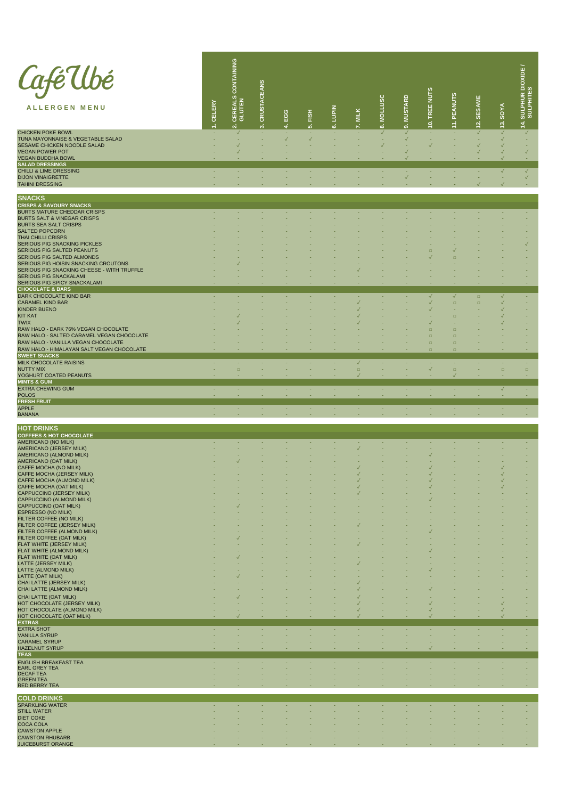| <i>Café</i> Ubé<br><b>ALLERGEN MENU</b>                                            | CELERY | CONTAINING<br>CEREALS<br>$\overline{N}$ | <b>CRUSTACEANS</b><br>$\vec{c}$ | EGG<br>4          | <b>EISH</b><br>ιó. | 6. LUPIN | 7. MILK                      | 8. MOLLUSC   | 9. MUSTARD        | 10. TREE NUTS                | 11. PEANUTS      | 12. SESAME                   | 13. SOYA                     | SULPHUR DIOXIDE<br>SULPHITES<br>$\frac{4}{7}$ |
|------------------------------------------------------------------------------------|--------|-----------------------------------------|---------------------------------|-------------------|--------------------|----------|------------------------------|--------------|-------------------|------------------------------|------------------|------------------------------|------------------------------|-----------------------------------------------|
| CHICKEN POKE BOWL<br>TUNA MAYONNAISE & VEGETABLE SALAD                             |        | $\checkmark$                            |                                 | ٠<br>$\checkmark$ | ٠<br>$\checkmark$  |          |                              | $\checkmark$ | ✓<br>$\checkmark$ |                              |                  | $\checkmark$                 | $\checkmark$<br>$\checkmark$ | $\checkmark$                                  |
| SESAME CHICKEN NOODLE SALAD<br><b>VEGAN POWER POT</b>                              |        |                                         |                                 |                   |                    |          |                              |              |                   |                              |                  | $\checkmark$<br>$\checkmark$ | $\checkmark$<br>$\checkmark$ | $\checkmark$                                  |
| <b>VEGAN BUDDHA BOWL</b>                                                           |        |                                         |                                 |                   |                    |          |                              |              |                   |                              |                  |                              | $\checkmark$                 |                                               |
| <b>SALAD DRESSINGS</b><br><b>CHILLI &amp; LIME DRESSING</b>                        |        | ٠                                       | ٠                               | ٠                 | ٠                  | ٠        | ٠                            | ٠            | ٠                 | ٠                            | ٠                | ٠                            | $\checkmark$                 | $\checkmark$                                  |
| <b>DIJON VINAIGRETTE</b><br><b>TAHINI DRESSING</b>                                 |        |                                         |                                 |                   |                    |          |                              |              | $\checkmark$      |                              |                  | $\checkmark$                 | ٠<br>$\checkmark$            | $\checkmark$                                  |
|                                                                                    |        |                                         |                                 |                   |                    |          |                              |              |                   |                              |                  |                              |                              |                                               |
| <b>SNACKS</b><br>CRISPS & SAVOURY SNACKS<br><b>BURTS MATURE CHEDDAR CRISPS</b>     | ٠      |                                         |                                 | ٠                 | ×.                 | ٠        | ٠                            | ٠            | ٠                 | ٠                            | ×                | ٠                            | ۰                            | ×.                                            |
| <b>BURTS SALT &amp; VINEGAR CRISPS</b><br><b>BURTS SEA SALT CRISPS</b>             |        |                                         |                                 |                   |                    |          |                              |              |                   |                              |                  |                              |                              |                                               |
| <b>SALTED POPCORN</b><br><b>THAI CHILLI CRISPS</b>                                 |        |                                         |                                 |                   |                    |          |                              |              |                   |                              |                  |                              |                              |                                               |
| <b>SERIOUS PIG SNACKING PICKLES</b><br>SERIOUS PIG SALTED PEANUTS                  |        |                                         |                                 |                   |                    |          |                              |              |                   | $\Box$                       |                  |                              |                              |                                               |
| SERIOUS PIG SALTED ALMONDS                                                         |        |                                         |                                 |                   |                    |          |                              |              |                   |                              | $\Box$           |                              |                              |                                               |
| SERIOUS PIG HOISIN SNACKING CROUTONS<br>SERIOUS PIG SNACKING CHEESE - WITH TRUFFLE |        |                                         |                                 |                   |                    |          |                              |              |                   |                              |                  |                              |                              |                                               |
| SERIOUS PIG SNACKALAMI<br>SERIOUS PIG SPICY SNACKALAMI                             |        |                                         |                                 |                   |                    |          |                              |              |                   |                              |                  |                              |                              |                                               |
| <b>CHOCOLATE &amp; BARS</b><br>DARK CHOCOLATE KIND BAR                             |        |                                         |                                 |                   | ٠                  |          | ٠                            |              |                   | $\checkmark$                 | $\checkmark$     | $\Box$                       | $\checkmark$                 | ٠                                             |
| <b>CARAMEL KIND BAR</b><br><b>KINDER BUENO</b>                                     |        |                                         |                                 |                   |                    |          | $\checkmark$<br>$\checkmark$ |              |                   | $\checkmark$<br>$\checkmark$ | $\Box$           | $\Box$                       | ✓<br>✓                       |                                               |
| <b>KIT KAT</b><br><b>TWIX</b>                                                      |        |                                         |                                 |                   |                    |          |                              |              |                   | $\checkmark$                 | $\Box$           |                              | ✓                            |                                               |
| RAW HALO - DARK 76% VEGAN CHOCOLATE<br>RAW HALO - SALTED CARAMEL VEGAN CHOCOLATE   |        |                                         |                                 |                   |                    |          |                              |              |                   | $\Box$<br>$\Box$             | $\Box$<br>$\Box$ |                              |                              |                                               |
| RAW HALO - VANILLA VEGAN CHOCOLATE                                                 |        |                                         |                                 |                   |                    |          |                              |              |                   | $\Box$                       | $\Box$           |                              |                              |                                               |
| RAW HALO - HIMALAYAN SALT VEGAN CHOCOLATE<br><b>SWEET SNACKS</b>                   |        |                                         |                                 |                   |                    |          |                              |              |                   | $\Box$                       | $\Box$           |                              |                              |                                               |
| MILK CHOCOLATE RAISINS<br><b>NUTTY MIX</b>                                         | ٠      | ٠<br>$\Box$                             | ×.                              | ٠                 | ×.                 | ٠        | $\sqrt{}$<br>$\Box$          | $\sim$       | ٠                 | ٠<br>$\checkmark$            | ÷<br>$\Box$      | ×.<br>٠                      | ×.<br>$\Box$                 | ×.<br>$\Box$                                  |
| YOGHURT COATED PEANUTS<br><b>MINTS &amp; GUM</b>                                   |        |                                         |                                 |                   |                    |          | $\sqrt{}$                    |              |                   |                              |                  |                              |                              |                                               |
| <b>EXTRA CHEWING GUM</b><br><b>POLOS</b>                                           | и.     | ÷                                       | ×.                              | ÷                 | ×.                 | н.       | ×.                           | $\sim$       | ÷                 | ÷                            | ٠                | ×                            | $\sqrt{2}$                   | ×.                                            |
| <b>FRESH FRUIT</b><br><b>APPLE</b>                                                 | ×.     | ×.                                      | ×                               | ÷                 | ×.                 | ×.       | ×.                           | ×            | ÷                 | ×                            | ÷                | ×.                           | ×.                           | ×.                                            |
| <b>BANANA</b>                                                                      |        |                                         |                                 |                   |                    |          |                              |              |                   |                              |                  |                              |                              |                                               |
| HOT DRINKS<br>COFFEES & HOT CHOCOLATE                                              |        |                                         |                                 |                   |                    |          |                              |              |                   |                              |                  |                              |                              |                                               |
| AMERICANO (NO MILK)                                                                |        |                                         |                                 |                   |                    |          |                              |              |                   |                              |                  |                              |                              |                                               |
| AMERICANO (JERSEY MILK)<br>AMERICANO (ALMOND MILK)                                 |        |                                         |                                 |                   |                    |          |                              |              |                   |                              |                  |                              |                              |                                               |
| AMERICANO (OAT MILK)<br>CAFFE MOCHA (NO MILK)                                      |        |                                         |                                 |                   |                    |          |                              |              |                   |                              |                  |                              | ✓                            |                                               |
| CAFFE MOCHA (JERSEY MILK)<br>CAFFE MOCHA (ALMOND MILK)                             |        |                                         |                                 |                   |                    |          |                              |              |                   |                              |                  |                              | ✓                            |                                               |
| CAFFE MOCHA (OAT MILK)<br>CAPPUCCINO (JERSEY MILK)                                 |        |                                         |                                 |                   |                    |          |                              |              |                   |                              |                  |                              |                              |                                               |
| CAPPUCCINO (ALMOND MILK)<br>CAPPUCCINO (OAT MILK)                                  |        |                                         |                                 |                   |                    |          |                              |              |                   |                              |                  |                              |                              |                                               |
| <b>ESPRESSO (NO MILK)</b><br>FILTER COFFEE (NO MILK)                               |        |                                         |                                 |                   |                    |          |                              |              |                   |                              |                  |                              |                              |                                               |
| FILTER COFFEE (JERSEY MILK)<br>FILTER COFFEE (ALMOND MILK)                         |        |                                         |                                 |                   |                    |          |                              |              |                   |                              |                  |                              |                              |                                               |
| FILTER COFFEE (OAT MILK)<br>FLAT WHITE (JERSEY MILK)                               |        |                                         |                                 |                   |                    |          |                              |              |                   |                              |                  |                              |                              |                                               |
| FLAT WHITE (ALMOND MILK)<br>FLAT WHITE (OAT MILK)                                  |        |                                         |                                 |                   |                    |          |                              |              |                   | $\checkmark$                 |                  |                              |                              |                                               |
| LATTE (JERSEY MILK)<br>LATTE (ALMOND MILK)                                         |        |                                         |                                 |                   |                    |          | $\sqrt{}$                    |              |                   |                              |                  |                              |                              |                                               |
| LATTE (OAT MILK)<br>CHAI LATTE (JERSEY MILK)                                       |        |                                         |                                 |                   |                    |          |                              |              |                   |                              |                  |                              |                              |                                               |
| CHAI LATTE (ALMOND MILK)                                                           |        |                                         |                                 |                   |                    |          |                              |              |                   | $\checkmark$                 |                  |                              |                              |                                               |
| CHAI LATTE (OAT MILK)<br>HOT CHOCOLATE (JERSEY MILK)                               |        |                                         |                                 |                   |                    |          | $\checkmark$                 |              |                   | $\checkmark$                 |                  |                              |                              |                                               |
| HOT CHOCOLATE (ALMOND MILK)<br>HOT CHOCOLATE (OAT MILK)                            |        |                                         |                                 |                   |                    |          |                              |              |                   |                              |                  |                              | ✓<br>✓                       |                                               |
| <b>EXTRAS</b><br><b>EXTRA SHOT</b>                                                 |        | ٠                                       | ×                               | ٠                 | ×                  | ٠        | ×                            | ٠            | ٠                 | ٠                            | ٠                | ٠                            | ۰                            | ٠                                             |
| <b>VANILLA SYRUP</b><br><b>CARAMEL SYRUP</b>                                       |        |                                         |                                 |                   |                    |          |                              |              |                   |                              |                  |                              |                              |                                               |
| <b>HAZELNUT SYRUP</b><br><b>TEAS</b>                                               |        |                                         |                                 |                   |                    |          |                              |              |                   |                              |                  |                              |                              |                                               |
| <b>ENGLISH BREAKFAST TEA</b><br><b>EARL GREY TEA</b>                               |        |                                         |                                 |                   |                    |          |                              |              |                   |                              |                  |                              |                              |                                               |
| <b>DECAF TEA</b><br><b>GREEN TEA</b>                                               |        |                                         |                                 |                   |                    |          |                              |              |                   |                              |                  |                              |                              |                                               |
| RED BERRY TEA                                                                      |        |                                         |                                 |                   |                    |          |                              |              |                   |                              |                  |                              |                              |                                               |
| <b>COLD DRINKS</b><br><b>SPARKLING WATER</b>                                       |        |                                         |                                 |                   |                    |          |                              |              |                   |                              |                  |                              |                              |                                               |
| <b>STILL WATER</b>                                                                 |        |                                         |                                 |                   |                    |          |                              |              |                   |                              |                  |                              |                              |                                               |
| <b>DIET COKE</b><br><b>COCA COLA</b>                                               |        |                                         |                                 |                   |                    |          |                              |              |                   |                              |                  |                              |                              |                                               |
| <b>CAWSTON APPLE</b><br><b>CAWSTON RHUBARB</b>                                     |        |                                         |                                 |                   |                    |          |                              |              |                   |                              |                  |                              |                              |                                               |
| <b>JUICEBURST ORANGE</b>                                                           |        |                                         |                                 |                   |                    |          |                              |              |                   |                              |                  |                              |                              |                                               |